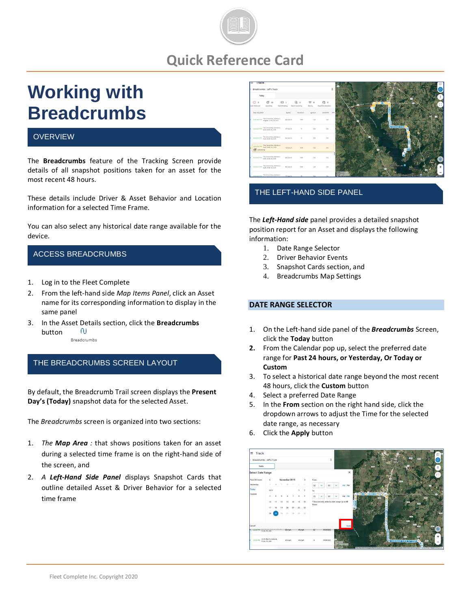

# **Quick Reference Card**

# **Working with Breadcrumbs**

# **OVERVIEW**

The **Breadcrumbs** feature of the Tracking Screen provide details of all snapshot positions taken for an asset for the most recent 48 hours.

These details include Driver & Asset Behavior and Location information for a selected Time Frame.

You can also select any historical date range available for the device.

# ACCESS BREADCRUMBS

- 1. Log in to the Fleet Complete
- 2. From the left-hand side *Map Items Panel*, click an Asset name for its corresponding information to display in the same panel
- 3. In the Asset Details section, click the **Breadcrumbs**  $\omega$ button Breadcrumbs

# THE BREADCRUMBS SCREEN LAYOUT

By default, the Breadcrumb Trail screen displays the **Present Day's (Today)** snapshot data for the selected Asset.

The *Breadcrumbs* screen is organized into two sections:

- 1. *The Map Area :* that shows positions taken for an asset during a selected time frame is on the right-hand side of the screen, and
- 2. *A Left-Hand Side Panel* displays Snapshot Cards that outline detailed Asset & Driver Behavior for a selected time frame



#### THE LEFT-HAND SIDE PANEL

The *Left-Hand side* panel provides a detailed snapshot position report for an Asset and displays the following information:

- 1. Date Range Selector
- 2. Driver Behavior Events
- 3. Snapshot Cards section, and
- 4. Breadcrumbs Map Settings

#### **DATE RANGE SELECTOR**

- 1. On the Left-hand side panel of the *Breadcrumbs* Screen, click the **Today** button
- **2.** From the Calendar pop up, select the preferred date range for **Past 24 hours, or Yesterday, Or Today or Custom**
- 3. To select a historical date range beyond the most recent 48 hours, click the **Custom** button
- 4. Select a preferred Date Range
- 5. In the **From** section on the right hand side, click the dropdown arrows to adjust the Time for the selected date range, as necessary
- 6. Click the **Apply** button

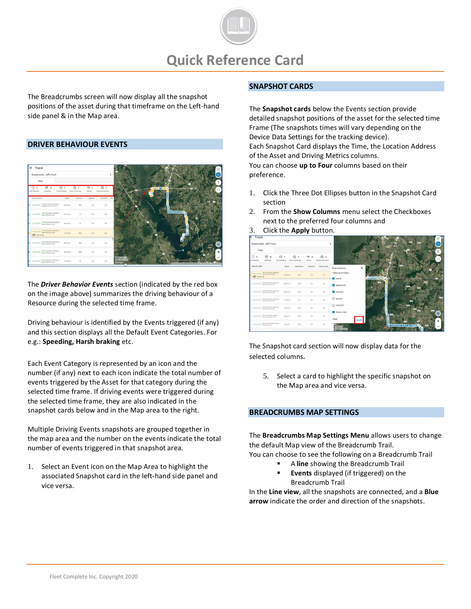

The Breadcrumbs screen will now display all the snapshot positions of the asset during that timeframe on the Left-hand side panel & in the Map area.

#### **DRIVER BEHAVIOUR EVENTS**



The *Driver Behavior Events* section (indicated by the red box on the image above) summarizes the driving behaviour of a Resource during the selected time frame.

Driving behaviour is identified by the Events triggered (if any) and this section displays all the Default Event Categories. For e.g.: **Speeding, Harsh braking** etc.

Each Event Category is represented by an icon and the number (if any) next to each icon indicate the total number of events triggered by the Asset for that category during the selected time frame. If driving events were triggered during the selected time frame, they are also indicated in the snapshot cards below and in the Map area to the right.

Multiple Driving Events snapshots are grouped together in the map area and the number on the events indicate the total number of events triggered in that snapshot area*.* 

1. Select an Event icon on the Map Area to highlight the associated Snapshot card in the left-hand side panel and vice versa.

#### **SNAPSHOT CARDS**

The **Snapshot cards** below the Events section provide detailed snapshot positions of the asset for the selected time Frame (The snapshots times will vary depending on the Device Data Settings for the tracking device). Each Snapshot Card displays the Time, the Location Address of the Asset and Driving Metrics columns. You can choose **up to Four** columns based on their preference.

- 1. Click the Three Dot Ellipses button in the Snapshot Card section
- 2. From the **Show Columns** menu select the Checkboxes next to the preferred four columns and
- 3. Click the **Apply** button.



The Snapshot card section will now display data for the selected columns*.*

5. Select a card to highlight the specific snapshot on the Map area and vice versa.

#### **BREADCRUMBS MAP SETTINGS**

The **Breadcrumbs Map Settings Menu** allows users to change the default Map view of the Breadcrumb Trail. You can choose to see the following on a Breadcrumb Trail

- A **line** showing the Breadcrumb Trail
- **Events** displayed (if triggered) on the Breadcrumb Trail

In the **Line view**, all the snapshots are connected, and a **Blue arrow** indicate the order and direction of the snapshots.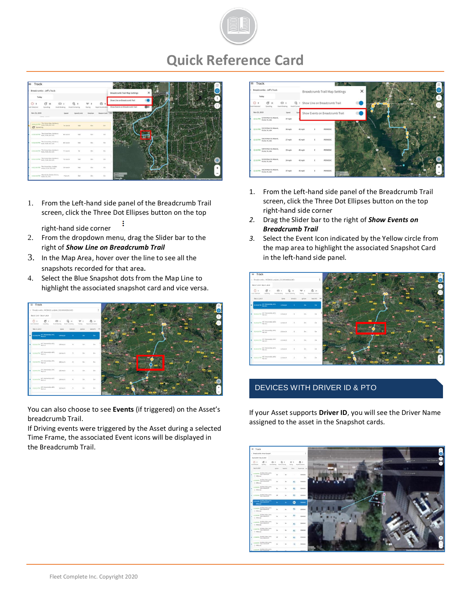

# **Quick Reference Card**



1. From the Left-hand side panel of the Breadcrumb Trail screen, click the Three Dot Ellipses button on the top

÷

- right-hand side corner
- 2. From the dropdown menu, drag the Slider bar to the right of *Show Line on Breadcrumb Trail*
- 3. In the Map Area, hover over the line to see all the snapshots recorded for that area*.*
- 4. Select the Blue Snapshot dots from the Map Line to highlight the associated snapshot card and vice versa.



You can also choose to see **Events** (if triggered) on the Asset's breadcrumb Trail.

If Driving events were triggered by the Asset during a selected Time Frame, the associated Event icons will be displayed in the Breadcrumb Trail.



- 1. From the Left-hand side panel of the Breadcrumb Trail screen, click the Three Dot Ellipses button on the top right-hand side corner
- *2.* Drag the Slider bar to the right of *Show Events on Breadcrumb Trail*
- *3.* Select the Event Icon indicated by the Yellow circle from the map area to highlight the associated Snapshot Card in the left-hand side panel*.*



# DEVICES WITH DRIVER ID & PTO

If your Asset supports **Driver ID**, you will see the Driver Name assigned to the asset in the Snapshot cards*.*